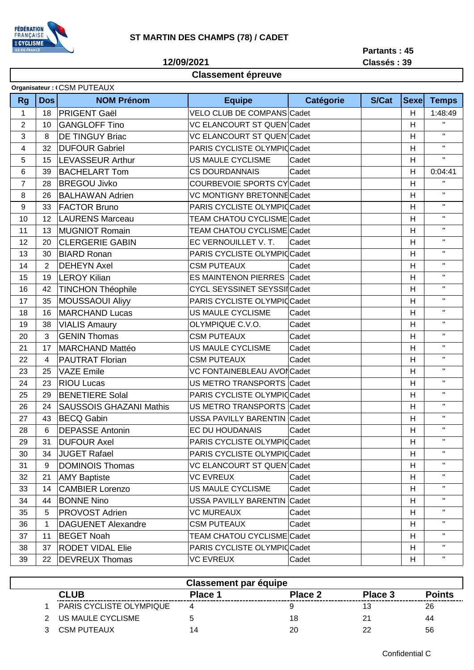

**Classement épreuve**

**12/09/2021**

**Partants : 45 Classés : 39**

## **Organisateur : (CSM PUTEAUX**

| <b>Rg</b>        | Dos            | <b>NOM Prénom</b>              | <b>Equipe</b>                       | Catégorie | <b>S/Cat</b> | <b>Sexel</b>       | <b>Temps</b>           |
|------------------|----------------|--------------------------------|-------------------------------------|-----------|--------------|--------------------|------------------------|
| $\mathbf{1}$     | 18             | <b>PRIGENT Gaël</b>            | VELO CLUB DE COMPANS Cadet          |           |              | H                  | 1:48:49                |
| $\overline{2}$   | 10             | <b>GANGLOFF Tino</b>           | <b>VC ELANCOURT ST QUEN Cadet</b>   |           | H            | $\bar{\mathbf{H}}$ |                        |
| 3                | 8              | <b>DE TINGUY Briac</b>         | VC ELANCOURT ST QUEN Cadet          |           |              | H                  | $\mathbf{H}$           |
| 4                | 32             | <b>DUFOUR Gabriel</b>          | PARIS CYCLISTE OLYMPIC Cadet        |           |              | Н                  | $\mathbf{H}$           |
| 5                | 15             | <b>LEVASSEUR Arthur</b>        | US MAULE CYCLISME                   | Cadet     |              | H                  | $\mathbf{H}^{\dagger}$ |
| 6                | 39             | <b>BACHELART Tom</b>           | <b>CS DOURDANNAIS</b>               | Cadet     |              | H                  | 0:04:41                |
| $\overline{7}$   | 28             | <b>BREGOU Jivko</b>            | COURBEVOIE SPORTS CY Cadet          |           |              | H                  | $\mathbf H$            |
| 8                | 26             | <b>BALHAWAN Adrien</b>         | <b>VC MONTIGNY BRETONNE Cadet</b>   |           |              | H                  | $\mathbf{H}$           |
| $\boldsymbol{9}$ | 33             | <b>FACTOR Bruno</b>            | PARIS CYCLISTE OLYMPIC Cadet        |           |              | H                  | $\mathbf{H}$           |
| 10               | 12             | <b>LAURENS Marceau</b>         | <b>TEAM CHATOU CYCLISME Cadet</b>   |           |              | H                  | $\mathbf{H}$           |
| 11               | 13             | <b>MUGNIOT Romain</b>          | TEAM CHATOU CYCLISME Cadet          |           |              | H                  | $\mathbf{H}$           |
| 12               | 20             | <b>CLERGERIE GABIN</b>         | EC VERNOUILLET V. T.                | Cadet     |              | H                  | $\mathbf{H}$           |
| 13               | 30             | <b>BIARD Ronan</b>             | PARIS CYCLISTE OLYMPIC Cadet        |           |              | H                  | $\mathbf{H}$           |
| 14               | $\overline{2}$ | <b>DEHEYN Axel</b>             | <b>CSM PUTEAUX</b>                  | Cadet     |              | H                  | $\mathbf{H}$           |
| 15               | 19             | <b>LEROY Kilian</b>            | <b>ES MAINTENON PIERRES Cadet</b>   |           |              | H                  | $\mathbf{H}$           |
| 16               | 42             | <b>TINCHON Théophile</b>       | <b>CYCL SEYSSINET SEYSSII Cadet</b> |           |              | H                  | $\mathbf{H}$           |
| 17               | 35             | MOUSSAOUI Aliyy                | PARIS CYCLISTE OLYMPIC Cadet        |           |              | Н                  | $\mathbf{H}$           |
| 18               | 16             | <b>MARCHAND Lucas</b>          | US MAULE CYCLISME                   | Cadet     |              | H                  | $\mathbf{H}$           |
| 19               | 38             | <b>VIALIS Amaury</b>           | OLYMPIQUE C.V.O.                    | Cadet     |              | H                  | $\mathbf{H}$           |
| 20               | 3              | <b>GENIN Thomas</b>            | <b>CSM PUTEAUX</b>                  | Cadet     |              | H                  | $\mathbf{H}$           |
| 21               | 17             | <b>MARCHAND Mattéo</b>         | US MAULE CYCLISME                   | Cadet     |              | H                  | $\mathbf{H}$           |
| 22               | 4              | <b>PAUTRAT Florian</b>         | <b>CSM PUTEAUX</b>                  | Cadet     |              | Н                  | $\mathbf{H}$           |
| 23               | 25             | <b>VAZE Emile</b>              | VC FONTAINEBLEAU AVOICadet          |           |              | H                  | $\mathbf{H}$           |
| 24               | 23             | <b>RIOU Lucas</b>              | US METRO TRANSPORTS Cadet           |           |              | H                  | $\mathbf{H}$           |
| 25               | 29             | <b>BENETIERE Solal</b>         | PARIS CYCLISTE OLYMPIC Cadet        |           |              | H                  | $\mathbf{H}$           |
| 26               | 24             | <b>SAUSSOIS GHAZANI Mathis</b> | US METRO TRANSPORTS Cadet           |           |              | H                  | $\mathbf{H}$           |
| 27               | 43             | <b>BECQ Gabin</b>              | USSA PAVILLY BARENTIN Cadet         |           |              | H                  | $\mathbf{H}$           |
| 28               | 6              | <b>DEPASSE Antonin</b>         | EC DU HOUDANAIS                     | Cadet     |              | H                  | $\mathbf{H}$           |
| 29               | 31             | <b>DUFOUR Axel</b>             | PARIS CYCLISTE OLYMPIC Cadet        |           |              | H                  | $\mathbf{H}$           |
| 30               | 34             | <b>JUGET Rafael</b>            | PARIS CYCLISTE OLYMPIC Cadet        |           |              | H                  | $\mathbf{H}$           |
| 31               | 9              | <b>DOMINOIS Thomas</b>         | <b>VC ELANCOURT ST QUEN Cadet</b>   |           |              | H                  | $\mathbf{H}$           |
| 32               | 21             | <b>AMY Baptiste</b>            | <b>VC EVREUX</b>                    | Cadet     |              | H                  | $\mathbf{H}$           |
| 33               | 14             | <b>CAMBIER Lorenzo</b>         | US MAULE CYCLISME                   | Cadet     |              | H                  | $\mathbf{H}$           |
| 34               | 44             | <b>BONNE Nino</b>              | USSA PAVILLY BARENTIN Cadet         |           |              | H                  | $\mathbf H$            |
| 35               | 5              | <b>PROVOST Adrien</b>          | <b>VC MUREAUX</b>                   | Cadet     |              | H                  | $\mathbf{H}$           |
| 36               | 1              | <b>DAGUENET Alexandre</b>      | <b>CSM PUTEAUX</b>                  | Cadet     |              | H                  | $\mathbf H$            |
| 37               | 11             | <b>BEGET Noah</b>              | TEAM CHATOU CYCLISME Cadet          |           |              | H                  |                        |
| 38               | 37             | <b>RODET VIDAL Elie</b>        | PARIS CYCLISTE OLYMPIC Cadet        |           |              | H                  | $\mathbf{H}$           |
| 39               | 22             | <b>DEVREUX Thomas</b>          | <b>VC EVREUX</b>                    | Cadet     |              | H                  | $\mathbf{H}$           |

| <b>Classement par équipe</b> |  |                                 |         |         |         |               |  |  |  |  |
|------------------------------|--|---------------------------------|---------|---------|---------|---------------|--|--|--|--|
|                              |  | CLUB                            | Place 1 | Place 2 | Place 3 | <b>Points</b> |  |  |  |  |
|                              |  | <b>PARIS CYCLISTE OLYMPIQUE</b> |         |         |         | 26            |  |  |  |  |
|                              |  | US MAULE CYCLISME               |         | 18      | 21      | 44            |  |  |  |  |
|                              |  | <b>CSM PUTEAUX</b>              |         | 20      | 22      | 56            |  |  |  |  |